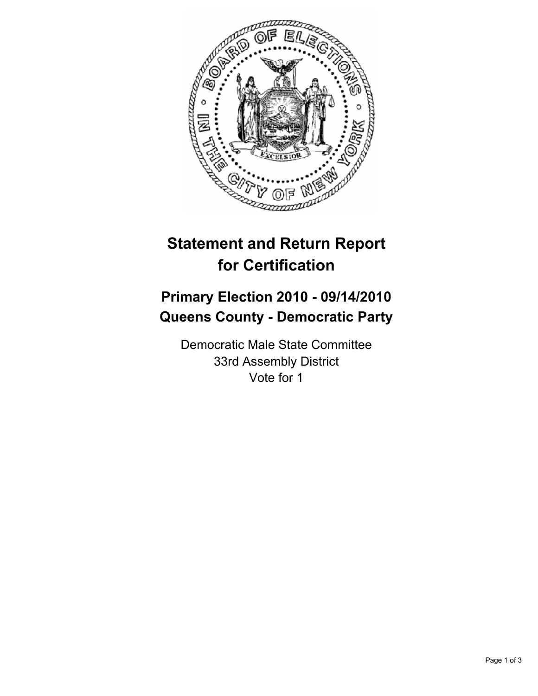

# **Statement and Return Report for Certification**

## **Primary Election 2010 - 09/14/2010 Queens County - Democratic Party**

Democratic Male State Committee 33rd Assembly District Vote for 1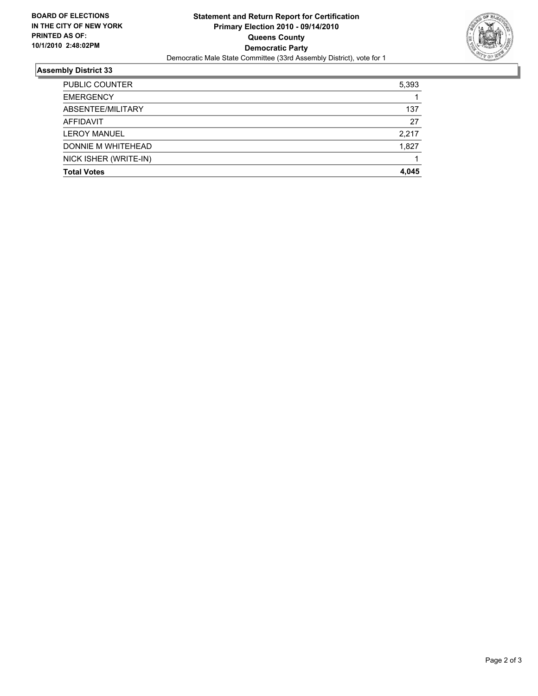

### **Assembly District 33**

| <b>Total Votes</b>    | 4.045 |
|-----------------------|-------|
| NICK ISHER (WRITE-IN) |       |
| DONNIE M WHITEHEAD    | 1,827 |
| <b>LEROY MANUEL</b>   | 2.217 |
| AFFIDAVIT             | 27    |
| ABSENTEE/MILITARY     | 137   |
| <b>EMERGENCY</b>      |       |
| PUBLIC COUNTER        | 5,393 |
|                       |       |